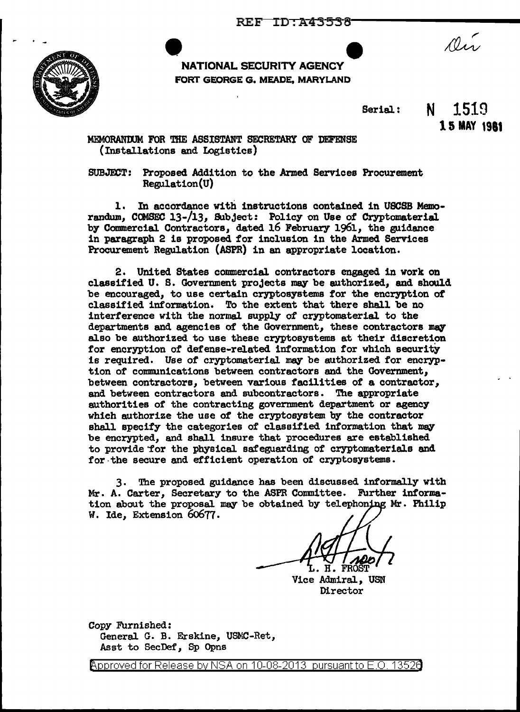

NATIONAL SECURITY AGENCY FORT GEORGE G. MEADE, MARYLAND

Serial.:

**N** 1519 **15 MAY 1981** 

Dir

MEMORANWM FOR THE ASSISTANT SECRETARY OF DEFENSE (Installations and Logistics)

SUBJECT: Proposed Addition to the Armed Services Procurement Regulation(U)

1. In accordance with instructions contained in USCSB Memorandum, COMSEC 13-/13, Subject: Policy on Use of Cryptomaterial by Commercial Contractors, dated 16 February 1961, the guidance in paragraph 2 is proposed. for inclusion in the Armed Services Procurement Regulation (ASPR) in an appropriate location.

2. United States commercial. contractors engaged in work on classified U. S. Government projects may be authorized, and should be encouraged, to use certain cryptosystems tor the encryption *ot*  classified information. To the extent that there shall be no interference with the normal. supply of cryptomaterial to the departments and agencies of the Government, these contractors may also be authorized to use these cryptosystems at their discretion for encryption of defense-related information for which security is required. Use of cryptomaterial may be authorized for encryption of communications between contractors and the Government, between contractors, between various facilities of a contractor, and between contractors and subcontractors. The appropriate authorities of the contracting govermnent department or agency which authorize the use of the cryptosystem by the contractor shall specify the categories of classified information that may be encrypted, and shall insure that procedures are established to provide for the physical safeguarding of cryptomaterials and for the secure and efficient operation of cryptosystems.

3. The proposed guidance has been discussed informally with Mr. A. Carter, Secretary to the ASPR Conmittee. Further information about the proposal may be obtained by telephoning Mr. Philip W. Ide, Extension 6o677.

Vice Admiral, USN Director

Copy FUrnished: General G. B. Erskine, USMC-Ret, Asst to SecDef, Sp Opns

Approved for Release by NSA on 10-08-2013 pursuant to E.O. 13526